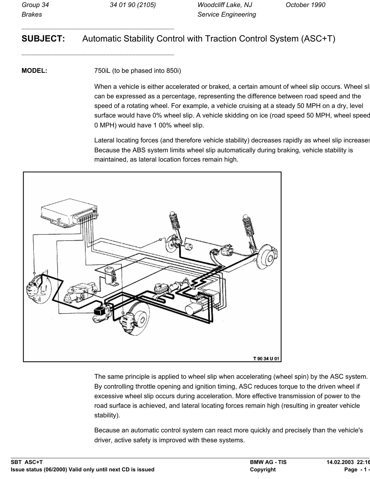--------------------------------------------------------------------------------------------------------

--------------------------------------------------------------------------------------------------------

# **SUBJECT:** Automatic Stability Control with Traction Control System (ASC+T)

**MODEL:** 750iL (to be phased into 850i)

When a vehicle is either accelerated or braked, a certain amount of wheel slip occurs. Wheel sl can be expressed as a percentage, representing the difference between road speed and the speed of a rotating wheel. For example, a vehicle cruising at a steady 50 MPH on a dry, level surface would have 0% wheel slip. A vehicle skidding on ice (road speed 50 MPH, wheel speed 0 MPH) would have 1 00% wheel slip.

Lateral locating forces (and therefore vehicle stability) decreases rapidly as wheel slip increases Because the ABS system limits wheel slip automatically during braking, vehicle stability is maintained, as lateral location forces remain high.



The same principle is applied to wheel slip when accelerating (wheel spin) by the ASC system. By controlling throttle opening and ignition timing, ASC reduces torque to the driven wheel if excessive wheel slip occurs during acceleration. More effective transmission of power to the road surface is achieved, and lateral locating forces remain high (resulting in greater vehicle stability).

Because an automatic control system can react more quickly and precisely than the vehicle's driver, active safety is improved with these systems.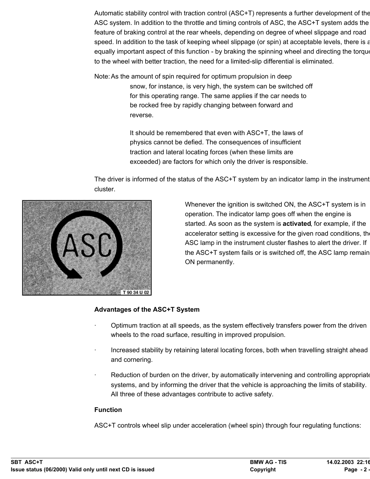Automatic stability control with traction control (ASC+T) represents a further development of the ASC system. In addition to the throttle and timing controls of ASC, the ASC+T system adds the feature of braking control at the rear wheels, depending on degree of wheel slippage and road speed. In addition to the task of keeping wheel slippage (or spin) at acceptable levels, there is a equally important aspect of this function - by braking the spinning wheel and directing the torque to the wheel with better traction, the need for a limited-slip differential is eliminated.

Note: As the amount of spin required for optimum propulsion in deep snow, for instance, is very high, the system can be switched off for this operating range. The same applies if the car needs to be rocked free by rapidly changing between forward and reverse.

> It should be remembered that even with ASC+T, the laws of physics cannot be defied. The consequences of insufficient traction and lateral locating forces (when these limits are exceeded) are factors for which only the driver is responsible.

The driver is informed of the status of the ASC+T system by an indicator lamp in the instrument cluster.



Whenever the ignition is switched ON, the ASC+T system is in operation. The indicator lamp goes off when the engine is started. As soon as the system is **activated**, for example, if the accelerator setting is excessive for the given road conditions, the ASC lamp in the instrument cluster flashes to alert the driver. If the ASC+T system fails or is switched off, the ASC lamp remain ON permanently.

## **Advantages of the ASC+T System**

- · Optimum traction at all speeds, as the system effectively transfers power from the driven wheels to the road surface, resulting in improved propulsion.
- · Increased stability by retaining lateral locating forces, both when travelling straight ahead and cornering.
- Reduction of burden on the driver, by automatically intervening and controlling appropriate systems, and by informing the driver that the vehicle is approaching the limits of stability. All three of these advantages contribute to active safety.

#### **Function**

ASC+T controls wheel slip under acceleration (wheel spin) through four regulating functions: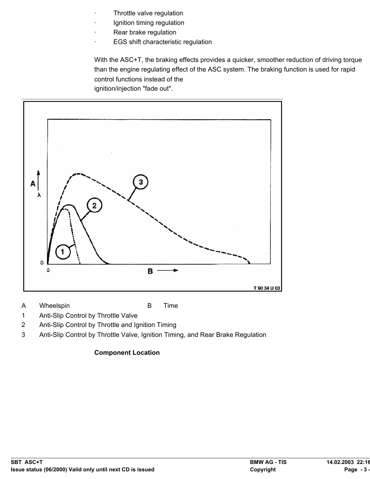- Throttle valve regulation
- Ignition timing regulation
- Rear brake regulation
- · EGS shift characteristic regulation

With the ASC+T, the braking effects provides a quicker, smoother reduction of driving torque than the engine regulating effect of the ASC system. The braking function is used for rapid control functions instead of the





A Wheelspin B Time

- 1 Anti-Slip Control by Throttle Valve
- 2 Anti-Slip Control by Throttle and Ignition Timing
- 3 Anti-Slip Control by Throttle Valve, Ignition Timing, and Rear Brake Regulation

## **Component Location**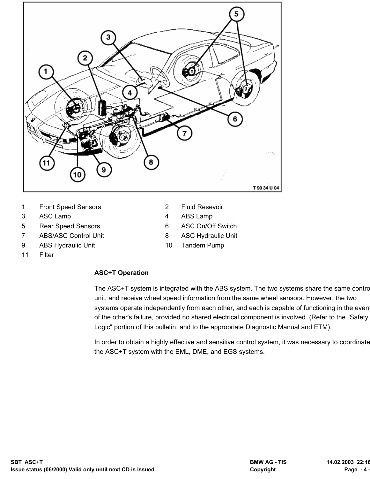

- 1 Front Speed Sensors 2 Fluid Resevoir
- 3 ASC Lamp 4 ABS Lamp
- 5 Rear Speed Sensors 6 ASC On/Off Switch
- 7 ABS/ASC Control Unit 8 ASC Hydraulic Unit
- 9 ABS Hydraulic Unit 10 Tandem Pump
- 
- 
- 
- 
- 

11 Filter

# **ASC+T Operation**

The ASC+T system is integrated with the ABS system. The two systems share the same contro unit, and receive wheel speed information from the same wheel sensors. However, the two systems operate independently from each other, and each is capable of functioning in the even of the other's failure, provided no shared electrical component is involved. (Refer to the "Safety Logic" portion of this bulletin, and to the appropriate Diagnostic Manual and ETM).

In order to obtain a highly effective and sensitive control system, it was necessary to coordinate the ASC+T system with the EML, DME, and EGS systems.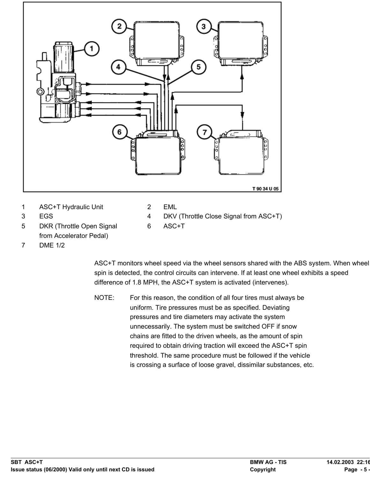

- 
- 5 DKR (Throttle Open Signal 6 ASC+T from Accelerator Pedal)
- 3 EGS 4 DKV (Throttle Close Signal from ASC+T)
	-

7 DME 1/2

ASC+T monitors wheel speed via the wheel sensors shared with the ABS system. When wheel spin is detected, the control circuits can intervene. If at least one wheel exhibits a speed difference of 1.8 MPH, the ASC+T system is activated (intervenes).

NOTE: For this reason, the condition of all four tires must always be uniform. Tire pressures must be as specified. Deviating pressures and tire diameters may activate the system unnecessarily. The system must be switched OFF if snow chains are fitted to the driven wheels, as the amount of spin required to obtain driving traction will exceed the ASC+T spin threshold. The same procedure must be followed if the vehicle is crossing a surface of loose gravel, dissimilar substances, etc.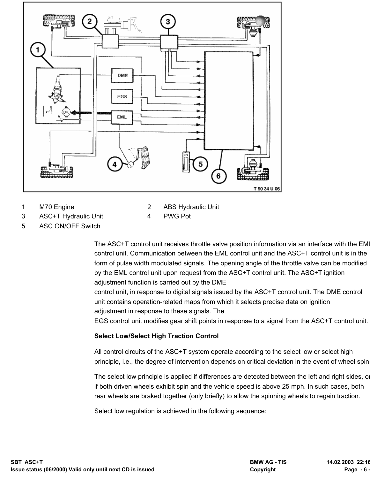

- 1 M70 Engine 2 ABS Hydraulic Unit
- 3 ASC+T Hydraulic Unit 4 PWG Pot
- 5 ASC ON/OFF Switch
	- The ASC+T control unit receives throttle valve position information via an interface with the EMI control unit. Communication between the EML control unit and the ASC+T control unit is in the form of pulse width modulated signals. The opening angle of the throttle valve can be modified by the EML control unit upon request from the ASC+T control unit. The ASC+T ignition adjustment function is carried out by the DME

control unit, in response to digital signals issued by the ASC+T control unit. The DME control unit contains operation-related maps from which it selects precise data on ignition adjustment in response to these signals. The

EGS control unit modifies gear shift points in response to a signal from the ASC+T control unit.

## **Select Low/Select High Traction Control**

All control circuits of the ASC+T system operate according to the select low or select high principle, i.e., the degree of intervention depends on critical deviation in the event of wheel spin

The select low principle is applied if differences are detected between the left and right sides, or if both driven wheels exhibit spin and the vehicle speed is above 25 mph. In such cases, both rear wheels are braked together (only briefly) to allow the spinning wheels to regain traction.

Select low regulation is achieved in the following sequence: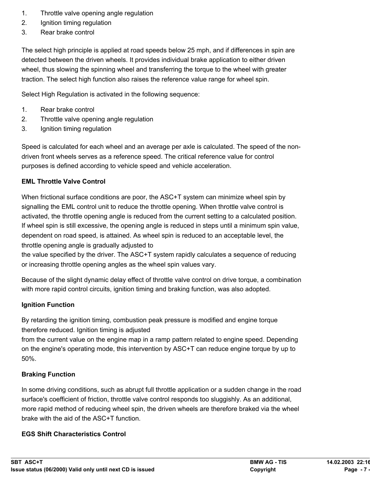- 1. Throttle valve opening angle regulation
- 2. Ignition timing regulation
- 3. Rear brake control

The select high principle is applied at road speeds below 25 mph, and if differences in spin are detected between the driven wheels. It provides individual brake application to either driven wheel, thus slowing the spinning wheel and transferring the torque to the wheel with greater traction. The select high function also raises the reference value range for wheel spin.

Select High Regulation is activated in the following sequence:

- 1. Rear brake control
- 2. Throttle valve opening angle regulation
- 3. Ignition timing regulation

Speed is calculated for each wheel and an average per axle is calculated. The speed of the nondriven front wheels serves as a reference speed. The critical reference value for control purposes is defined according to vehicle speed and vehicle acceleration.

# **EML Throttle Valve Control**

When frictional surface conditions are poor, the ASC+T system can minimize wheel spin by signalling the EML control unit to reduce the throttle opening. When throttle valve control is activated, the throttle opening angle is reduced from the current setting to a calculated position. If wheel spin is still excessive, the opening angle is reduced in steps until a minimum spin value, dependent on road speed, is attained. As wheel spin is reduced to an acceptable level, the throttle opening angle is gradually adjusted to

the value specified by the driver. The ASC+T system rapidly calculates a sequence of reducing or increasing throttle opening angles as the wheel spin values vary.

Because of the slight dynamic delay effect of throttle valve control on drive torque, a combination with more rapid control circuits, ignition timing and braking function, was also adopted.

## **Ignition Function**

By retarding the ignition timing, combustion peak pressure is modified and engine torque therefore reduced. Ignition timing is adjusted

from the current value on the engine map in a ramp pattern related to engine speed. Depending on the engine's operating mode, this intervention by ASC+T can reduce engine torque by up to 50%.

# **Braking Function**

In some driving conditions, such as abrupt full throttle application or a sudden change in the road surface's coefficient of friction, throttle valve control responds too sluggishly. As an additional, more rapid method of reducing wheel spin, the driven wheels are therefore braked via the wheel brake with the aid of the ASC+T function.

# **EGS Shift Characteristics Control**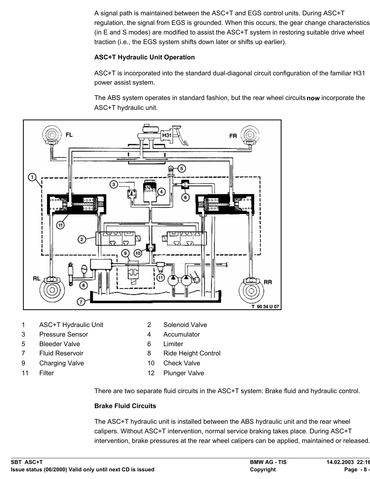A signal path is maintained between the ASC+T and EGS control units. During ASC+T regulation, the signal from EGS is grounded. When this occurs, the gear change characteristics (in E and S modes) are modified to assist the ASC+T system in restoring suitable drive wheel traction (i.e., the EGS system shifts down later or shifts up earlier).

#### **ASC+T Hydraulic Unit Operation**

ASC+T is incorporated into the standard dual-diagonal circuit configuration of the familiar H31 power assist system.

The ABS system operates in standard fashion, but the rear wheel circuits **now** incorporate the ASC+T hydraulic unit.



- 1 ASC+T Hydraulic Unit 2 Solenoid Valve
- 3 Pressure Sensor 4 Accumulator
- 5 Bleeder Valve 6 Limiter
- 
- 9 Charging Valve 10 Check Valve
- 
- 
- 
- 
- 7 Fluid Reservoir 8 Ride Height Control
	-
- 11 Filter 12 Plunger Valve

There are two separate fluid circuits in the ASC+T system: Brake fluid and hydraulic control.

#### **Brake Fluid Circuits**

The ASC+T hydraulic unit is installed between the ABS hydraulic unit and the rear wheel calipers. Without ASC+T intervention, normal service braking takes place. During ASC+T intervention, brake pressures at the rear wheel calipers can be applied, maintained or released.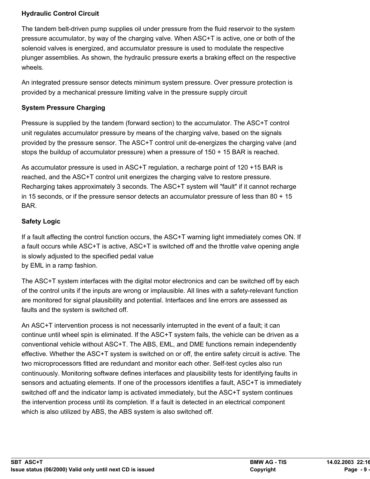### **Hydraulic Control Circuit**

The tandem belt-driven pump supplies oil under pressure from the fluid reservoir to the system pressure accumulator, by way of the charging valve. When ASC+T is active, one or both of the solenoid valves is energized, and accumulator pressure is used to modulate the respective plunger assemblies. As shown, the hydraulic pressure exerts a braking effect on the respective wheels.

An integrated pressure sensor detects minimum system pressure. Over pressure protection is provided by a mechanical pressure limiting valve in the pressure supply circuit

#### **System Pressure Charging**

Pressure is supplied by the tandem (forward section) to the accumulator. The ASC+T control unit regulates accumulator pressure by means of the charging valve, based on the signals provided by the pressure sensor. The ASC+T control unit de-energizes the charging valve (and stops the buildup of accumulator pressure) when a pressure of 150 + 15 BAR is reached.

As accumulator pressure is used in ASC+T regulation, a recharge point of 120 +15 BAR is reached, and the ASC+T control unit energizes the charging valve to restore pressure. Recharging takes approximately 3 seconds. The ASC+T system will "fault" if it cannot recharge in 15 seconds, or if the pressure sensor detects an accumulator pressure of less than 80 + 15 BAR.

### **Safety Logic**

If a fault affecting the control function occurs, the ASC+T warning light immediately comes ON. If a fault occurs while ASC+T is active, ASC+T is switched off and the throttle valve opening angle is slowly adjusted to the specified pedal value by EML in a ramp fashion.

The ASC+T system interfaces with the digital motor electronics and can be switched off by each of the control units if the inputs are wrong or implausible. All lines with a safety-relevant function are monitored for signal plausibility and potential. Interfaces and line errors are assessed as faults and the system is switched off.

An ASC+T intervention process is not necessarily interrupted in the event of a fault; it can continue until wheel spin is eliminated. If the ASC+T system fails, the vehicle can be driven as a conventional vehicle without ASC+T. The ABS, EML, and DME functions remain independently effective. Whether the ASC+T system is switched on or off, the entire safety circuit is active. The two microprocessors fitted are redundant and monitor each other. Self-test cycles also run continuously. Monitoring software defines interfaces and plausibility tests for identifying faults in sensors and actuating elements. If one of the processors identifies a fault, ASC+T is immediately switched off and the indicator lamp is activated immediately, but the ASC+T system continues the intervention process until its completion. If a fault is detected in an electrical component which is also utilized by ABS, the ABS system is also switched off.